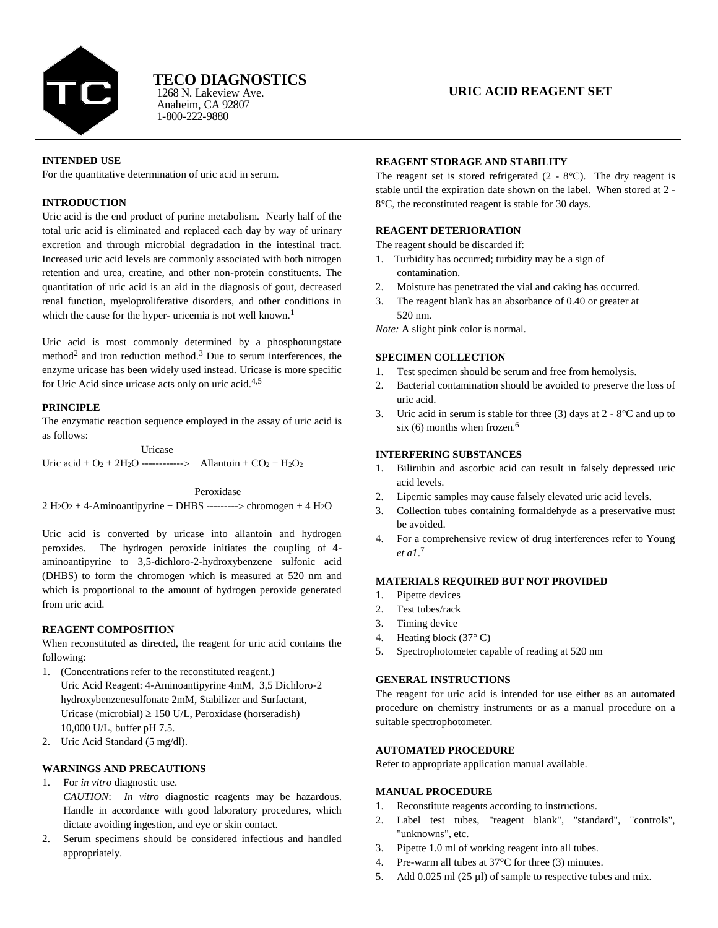

# **TECO DIAGNOSTICS**

Anaheim, CA 92807 1-800-222-9880 1268 N. Lakeview Ave.

## **URIC ACID REAGENT SET**

#### **INTENDED USE**

For the quantitative determination of uric acid in serum.

## **INTRODUCTION**

Uric acid is the end product of purine metabolism. Nearly half of the total uric acid is eliminated and replaced each day by way of urinary excretion and through microbial degradation in the intestinal tract. Increased uric acid levels are commonly associated with both nitrogen retention and urea, creatine, and other non-protein constituents. The quantitation of uric acid is an aid in the diagnosis of gout, decreased renal function, myeloproliferative disorders, and other conditions in which the cause for the hyper- uricemia is not well known.<sup>1</sup>

Uric acid is most commonly determined by a phosphotungstate method<sup>2</sup> and iron reduction method.<sup>3</sup> Due to serum interferences, the enzyme uricase has been widely used instead. Uricase is more specific for Uric Acid since uricase acts only on uric acid.4,5

#### **PRINCIPLE**

The enzymatic reaction sequence employed in the assay of uric acid is as follows:

 Uricase Uric acid +  $O_2$  + 2H<sub>2</sub>O ------------> Allantoin +  $CO_2$  + H<sub>2</sub>O<sub>2</sub>

#### Peroxidase

 $2 H<sub>2</sub>O<sub>2</sub> + 4$ -Aminoantipyrine + DHBS --------> chromogen + 4 H<sub>2</sub>O

Uric acid is converted by uricase into allantoin and hydrogen peroxides. The hydrogen peroxide initiates the coupling of 4 aminoantipyrine to 3,5-dichloro-2-hydroxybenzene sulfonic acid (DHBS) to form the chromogen which is measured at 520 nm and which is proportional to the amount of hydrogen peroxide generated from uric acid.

#### **REAGENT COMPOSITION**

When reconstituted as directed, the reagent for uric acid contains the following:

- 1. (Concentrations refer to the reconstituted reagent.) Uric Acid Reagent: 4-Aminoantipyrine 4mM, 3,5 Dichloro-2 hydroxybenzenesulfonate 2mM, Stabilizer and Surfactant, Uricase (microbial)  $\geq$  150 U/L, Peroxidase (horseradish) 10,000 U/L, buffer pH 7.5.
- 2. Uric Acid Standard (5 mg/dl).

## **WARNINGS AND PRECAUTIONS**

1. For *in vitro* diagnostic use.

*CAUTION*: *In vitro* diagnostic reagents may be hazardous. Handle in accordance with good laboratory procedures, which dictate avoiding ingestion, and eye or skin contact.

2. Serum specimens should be considered infectious and handled appropriately.

## **REAGENT STORAGE AND STABILITY**

The reagent set is stored refrigerated  $(2 - 8^{\circ}C)$ . The dry reagent is stable until the expiration date shown on the label. When stored at 2 - 8°C, the reconstituted reagent is stable for 30 days.

## **REAGENT DETERIORATION**

The reagent should be discarded if:

- 1. Turbidity has occurred; turbidity may be a sign of contamination.
- 2. Moisture has penetrated the vial and caking has occurred.
- 3. The reagent blank has an absorbance of 0.40 or greater at 520 nm.

*Note:* A slight pink color is normal*.*

## **SPECIMEN COLLECTION**

- 1. Test specimen should be serum and free from hemolysis.
- 2. Bacterial contamination should be avoided to preserve the loss of uric acid.
- 3. Uric acid in serum is stable for three (3) days at  $2 8$ °C and up to six  $(6)$  months when frozen.<sup>6</sup>

#### **INTERFERING SUBSTANCES**

- 1. Bilirubin and ascorbic acid can result in falsely depressed uric acid levels.
- 2. Lipemic samples may cause falsely elevated uric acid levels.
- 3. Collection tubes containing formaldehyde as a preservative must be avoided.
- 4. For a comprehensive review of drug interferences refer to Young *et a1*. 7

#### **MATERIALS REQUIRED BUT NOT PROVIDED**

- 1. Pipette devices
- 2. Test tubes/rack
- 3. Timing device
- 4. Heating block (37° C)
- 5. Spectrophotometer capable of reading at 520 nm

#### **GENERAL INSTRUCTIONS**

The reagent for uric acid is intended for use either as an automated procedure on chemistry instruments or as a manual procedure on a suitable spectrophotometer.

#### **AUTOMATED PROCEDURE**

Refer to appropriate application manual available.

#### **MANUAL PROCEDURE**

- 1. Reconstitute reagents according to instructions.
- 2. Label test tubes, "reagent blank", "standard", "controls", "unknowns", etc.
- 3. Pipette 1.0 ml of working reagent into all tubes.
- 4. Pre-warm all tubes at 37°C for three (3) minutes.
- 5. Add  $0.025$  ml (25  $\mu$ l) of sample to respective tubes and mix.